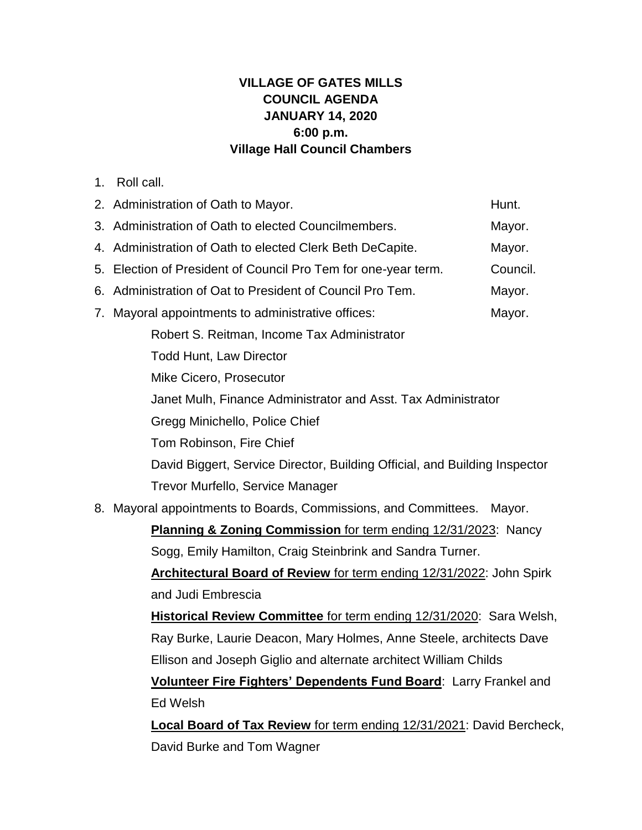## **VILLAGE OF GATES MILLS COUNCIL AGENDA JANUARY 14, 2020 6:00 p.m. Village Hall Council Chambers**

1. Roll call.

|                                                                            | 2. Administration of Oath to Mayor.<br>Hunt.                               |  |  |
|----------------------------------------------------------------------------|----------------------------------------------------------------------------|--|--|
|                                                                            | 3. Administration of Oath to elected Councilmembers.<br>Mayor.             |  |  |
|                                                                            | 4. Administration of Oath to elected Clerk Beth DeCapite.<br>Mayor.        |  |  |
|                                                                            | Council.<br>5. Election of President of Council Pro Tem for one-year term. |  |  |
|                                                                            | 6. Administration of Oat to President of Council Pro Tem.<br>Mayor.        |  |  |
| 7.                                                                         | Mayoral appointments to administrative offices:<br>Mayor.                  |  |  |
|                                                                            | Robert S. Reitman, Income Tax Administrator                                |  |  |
|                                                                            | <b>Todd Hunt, Law Director</b>                                             |  |  |
|                                                                            | Mike Cicero, Prosecutor                                                    |  |  |
| Janet Mulh, Finance Administrator and Asst. Tax Administrator              |                                                                            |  |  |
|                                                                            | Gregg Minichello, Police Chief                                             |  |  |
|                                                                            | Tom Robinson, Fire Chief                                                   |  |  |
|                                                                            | David Biggert, Service Director, Building Official, and Building Inspector |  |  |
|                                                                            | Trevor Murfello, Service Manager                                           |  |  |
|                                                                            | 8. Mayoral appointments to Boards, Commissions, and Committees.<br>Mayor.  |  |  |
|                                                                            | Planning & Zoning Commission for term ending 12/31/2023: Nancy             |  |  |
|                                                                            | Sogg, Emily Hamilton, Craig Steinbrink and Sandra Turner.                  |  |  |
|                                                                            | Architectural Board of Review for term ending 12/31/2022: John Spirk       |  |  |
|                                                                            | and Judi Embrescia                                                         |  |  |
| <b>Historical Review Committee for term ending 12/31/2020: Sara Welsh,</b> |                                                                            |  |  |
|                                                                            | Ray Burke, Laurie Deacon, Mary Holmes, Anne Steele, architects Dave        |  |  |
|                                                                            | Ellison and Joseph Giglio and alternate architect William Childs           |  |  |
|                                                                            | Volunteer Fire Fighters' Dependents Fund Board: Larry Frankel and          |  |  |
|                                                                            | Ed Welsh                                                                   |  |  |
|                                                                            | Local Board of Tax Review for term ending 12/31/2021: David Bercheck,      |  |  |

David Burke and Tom Wagner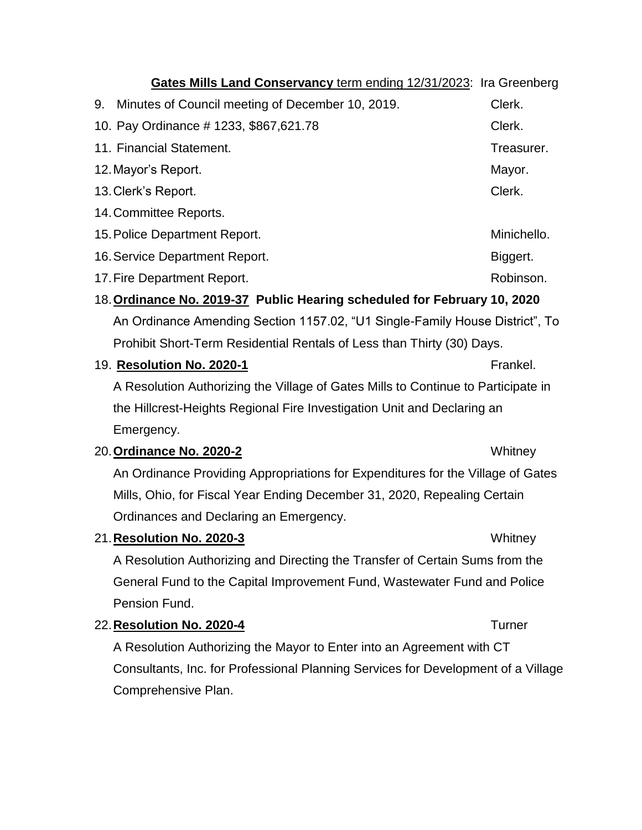| Gates Mills Land Conservancy term ending 12/31/2023: Ira Greenberg           |                                                                                   |               |  |
|------------------------------------------------------------------------------|-----------------------------------------------------------------------------------|---------------|--|
| 9.                                                                           | Minutes of Council meeting of December 10, 2019.                                  | Clerk.        |  |
| 10. Pay Ordinance # 1233, \$867,621.78                                       |                                                                                   | Clerk.        |  |
| 11. Financial Statement.                                                     |                                                                                   | Treasurer.    |  |
| 12. Mayor's Report.                                                          | Mayor.                                                                            |               |  |
| 13. Clerk's Report.                                                          | Clerk.                                                                            |               |  |
| 14. Committee Reports.                                                       |                                                                                   |               |  |
| 15. Police Department Report.                                                | Minichello.                                                                       |               |  |
| 16. Service Department Report.                                               | Biggert.                                                                          |               |  |
| 17. Fire Department Report.                                                  |                                                                                   | Robinson.     |  |
| 18. Ordinance No. 2019-37 Public Hearing scheduled for February 10, 2020     |                                                                                   |               |  |
| An Ordinance Amending Section 1157.02, "U1 Single-Family House District", To |                                                                                   |               |  |
|                                                                              | Prohibit Short-Term Residential Rentals of Less than Thirty (30) Days.            |               |  |
| 19. Resolution No. 2020-1                                                    |                                                                                   | Frankel.      |  |
|                                                                              | A Resolution Authorizing the Village of Gates Mills to Continue to Participate in |               |  |
| the Hillcrest-Heights Regional Fire Investigation Unit and Declaring an      |                                                                                   |               |  |
| Emergency.                                                                   |                                                                                   |               |  |
| 20. Ordinance No. 2020-2                                                     |                                                                                   | Whitney       |  |
|                                                                              | An Ordinance Providing Appropriations for Expenditures for the Village of Gates   |               |  |
| Mills, Ohio, for Fiscal Year Ending December 31, 2020, Repealing Certain     |                                                                                   |               |  |
|                                                                              | Ordinances and Declaring an Emergency.                                            |               |  |
| 21. Resolution No. 2020-3                                                    |                                                                                   | Whitney       |  |
| A Resolution Authorizing and Directing the Transfer of Certain Sums from the |                                                                                   |               |  |
|                                                                              | General Fund to the Capital Improvement Fund, Wastewater Fund and Police          |               |  |
| Pension Fund.                                                                |                                                                                   |               |  |
| 22. Resolution No. 2020-4                                                    |                                                                                   | <b>Turner</b> |  |
|                                                                              | A Resolution Authorizing the Mayor to Enter into an Agreement with CT             |               |  |
|                                                                              | Consultants, Inc. for Professional Planning Services for Development of a Village |               |  |
| Comprehensive Plan.                                                          |                                                                                   |               |  |